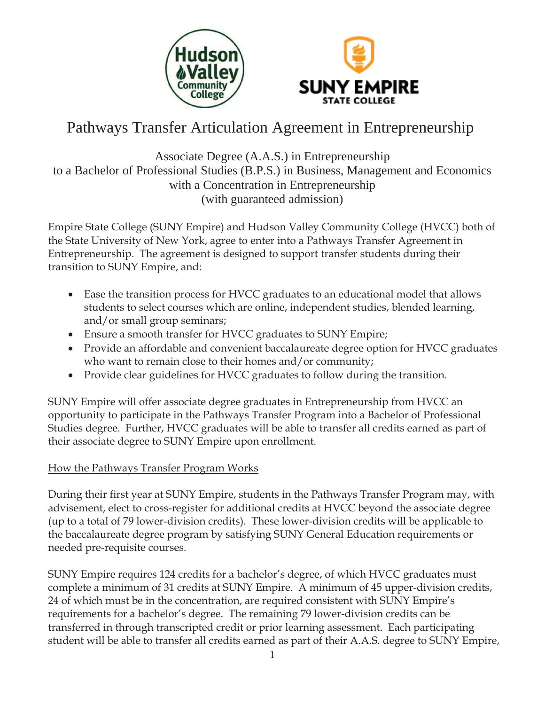



# Pathways Transfer Articulation Agreement in Entrepreneurship

# Associate Degree (A.A.S.) in Entrepreneurship to a Bachelor of Professional Studies (B.P.S.) in Business, Management and Economics with a Concentration in Entrepreneurship (with guaranteed admission)

Empire State College (SUNY Empire) and Hudson Valley Community College (HVCC) both of the State University of New York, agree to enter into a Pathways Transfer Agreement in Entrepreneurship. The agreement is designed to support transfer students during their transition to SUNY Empire, and:

- Ease the transition process for HVCC graduates to an educational model that allows students to select courses which are online, independent studies, blended learning, and/or small group seminars;
- Ensure a smooth transfer for HVCC graduates to SUNY Empire;
- Provide an affordable and convenient baccalaureate degree option for HVCC graduates who want to remain close to their homes and/or community;
- Provide clear guidelines for HVCC graduates to follow during the transition.

SUNY Empire will offer associate degree graduates in Entrepreneurship from HVCC an opportunity to participate in the Pathways Transfer Program into a Bachelor of Professional Studies degree. Further, HVCC graduates will be able to transfer all credits earned as part of their associate degree to SUNY Empire upon enrollment.

# How the Pathways Transfer Program Works

During their first year at SUNY Empire, students in the Pathways Transfer Program may, with advisement, elect to cross-register for additional credits at HVCC beyond the associate degree (up to a total of 79 lower-division credits). These lower-division credits will be applicable to the baccalaureate degree program by satisfying SUNY General Education requirements or needed pre-requisite courses.

SUNY Empire requires 124 credits for a bachelor's degree, of which HVCC graduates must complete a minimum of 31 credits at SUNY Empire. A minimum of 45 upper-division credits, 24 of which must be in the concentration, are required consistent with SUNY Empire's requirements for a bachelor's degree. The remaining 79 lower-division credits can be transferred in through transcripted credit or prior learning assessment. Each participating student will be able to transfer all credits earned as part of their A.A.S. degree to SUNY Empire,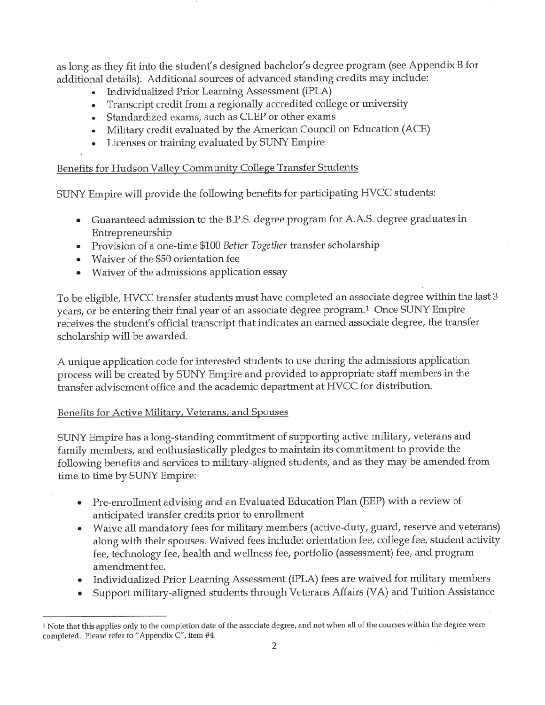as long as they fit into the student's designed bachelor's degree program (see Appendix B for additional details). Additional sources of advanced standing credits may include:

- Individualized Prior Learning Assessment (iPLA)  $\bullet$
- Transcript credit from a regionally accredited college or university  $\bullet$
- Standardized exams, such as CLEP or other exams  $\bullet$
- Military credit evaluated by the American Council on Education (ACE)
- Licenses or training evaluated by SUNY Empire

# Benefits for Hudson Valley Community College Transfer Students

SUNY Empire will provide the following benefits for participating HVCC students:

- Guaranteed admission to the B.P.S. degree program for A.A.S. degree graduates in  $\bullet$ Entrepreneurship
- Provision of a one-time \$100 Better Together transfer scholarship
- Waiver of the \$50 orientation fee  $\bullet$
- Waiver of the admissions application essay

To be eligible, HVCC transfer students must have completed an associate degree within the last 3 years, or be entering their final year of an associate degree program.<sup>1</sup> Once SUNY Empire receives the student's official transcript that indicates an earned associate degree, the transfer scholarship will be awarded.

A unique application code for interested students to use during the admissions application process will be created by SUNY Empire and provided to appropriate staff members in the transfer advisement office and the academic department at HVCC for distribution.

# Benefits for Active Military, Veterans, and Spouses

SUNY Empire has a long-standing commitment of supporting active military, veterans and family members, and enthusiastically pledges to maintain its commitment to provide the following benefits and services to military-aligned students, and as they may be amended from time to time by SUNY Empire:

- Pre-enrollment advising and an Evaluated Education Plan (EEP) with a review of  $\bullet$ anticipated transfer credits prior to enrollment
- Waive all mandatory fees for military members (active-duty, guard, reserve and veterans) along with their spouses. Waived fees include: orientation fee, college fee, student activity fee, technology fee, health and wellness fee, portfolio (assessment) fee, and program amendment fee.
- Individualized Prior Learning Assessment (iPLA) fees are waived for military members
- Support military-aligned students through Veterans Affairs (VA) and Tuition Assistance

<sup>&</sup>lt;sup>1</sup> Note that this applies only to the completion date of the associate degree, and not when all of the courses within the degree were completed. Please refer to "Appendix C", item #4.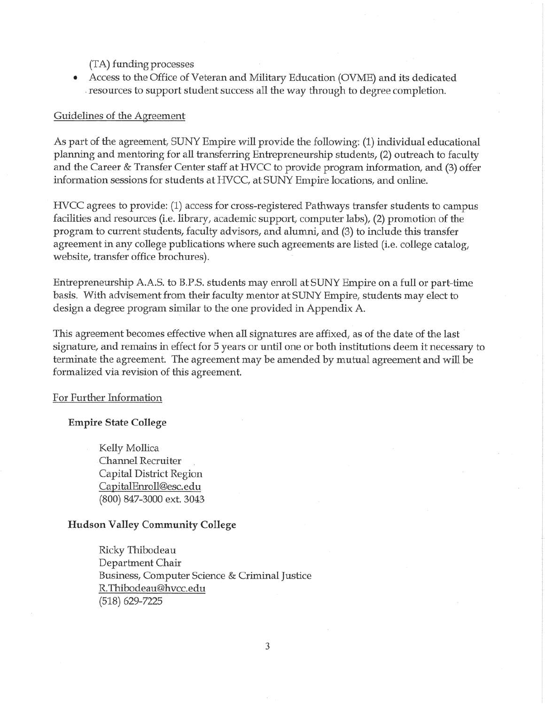(TA) funding processes

Access to the Office of Veteran and Military Education (OVME) and its dedicated resources to support student success all the way through to degree completion.

# Guidelines of the Agreement

As part of the agreement, SUNY Empire will provide the following: (1) individual educational planning and mentoring for all transferring Entrepreneurship students, (2) outreach to faculty and the Career & Transfer Center staff at HVCC to provide program information, and (3) offer information sessions for students at HVCC, at SUNY Empire locations, and online.

HVCC agrees to provide: (1) access for cross-registered Pathways transfer students to campus facilities and resources (i.e. library, academic support, computer labs), (2) promotion of the program to current students, faculty advisors, and alumni, and (3) to include this transfer agreement in any college publications where such agreements are listed (i.e. college catalog, website, transfer office brochures).

Entrepreneurship A.A.S. to B.P.S. students may enroll at SUNY Empire on a full or part-time basis. With advisement from their faculty mentor at SUNY Empire, students may elect to design a degree program similar to the one provided in Appendix A.

This agreement becomes effective when all signatures are affixed, as of the date of the last signature, and remains in effect for 5 years or until one or both institutions deem it necessary to terminate the agreement. The agreement may be amended by mutual agreement and will be formalized via revision of this agreement.

## For Further Information

## **Empire State College**

Kelly Mollica Channel Recruiter Capital District Region CapitalEnroll@esc.edu (800) 847-3000 ext. 3043

# **Hudson Valley Community College**

Ricky Thibodeau Department Chair Business, Computer Science & Criminal Justice R.Thibodeau@hvcc.edu  $(518)$  629-7225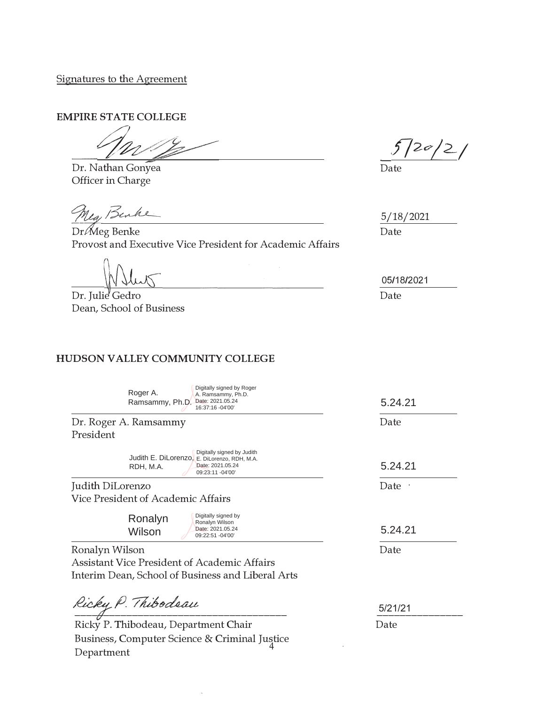Signatures to the Agreement

**EMPIRE STATE COLLEGE** 

<u>*- 100*</u><br>Dr. Nathan Gonyea  $\frac{1}{\sqrt{2}}$ 

Officer in Charge

Nea, Benke

 $Dr\mathcal{M}$ eg Benke Provost and Executive Vice President for Academic Affairs

Dr. Julie' Gedro Dean, School of Business

Department

# **HUDSON VALLEY COMMUNITY COLLEGE**

Date

5/18/2021 Date

05/18/2021 Date

Dr. Roger A. Ramsammy President Judith DiLorenzo Vice President of Academic Affairs Ronalyn Wilson Assistant Vice President of Academic Affairs Interim Dean, School of Business and Liberal Arts Date Date · Date ?????????????????????????????????????A AAAAAAAAAAAAAAAAAAAAAAAAAAAAA?????????????????????????????????????Ricky P. Thibodeau, Department Chair<br>Date Business, Computer Science & Criminal Justice 5/21/21 5.24.21 5.24.21 5.24.21 Roger A. Ramsammy, Ph.D. A. Ramsammy, Ph.D. Date: 2021.05.24 16:37:16 -04'00' Digitally signed by Roger Judith E. DiLorenzo, E. DiLorenzo, RDH, M.A. RDH, M.A. Digitally signed by Judith Date: 2021.05.24 09:23:11 -04'00' Ronalyn Wilson Digitally signed by Ronalyn Wilson Date: 2021.05.24 09:22:51 -04'00'

 $\overline{4}$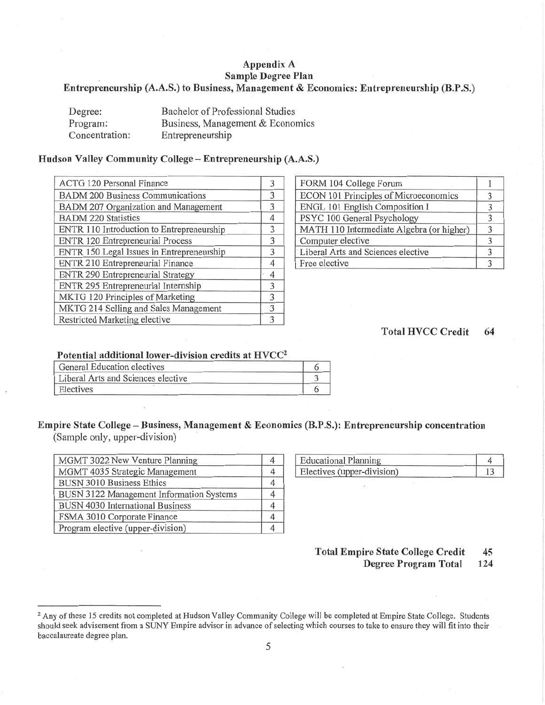# Appendix A Sample Degree Plan Entrepreneurship (A.A.S.) to Business, Management & Economics: Entrepreneurship (B.P.S.)

| Degree:        | Bachelor of Professional Studies |
|----------------|----------------------------------|
| Program:       | Business, Management & Economics |
| Concentration: | Entrepreneurship                 |

#### Hudson Valley Community College - Entrepreneurship (A.A.S.)

| ACTG 120 Personal Finance                 | 3 |
|-------------------------------------------|---|
| <b>BADM 200 Business Communications</b>   | 3 |
| BADM 207 Organization and Management      | 3 |
| <b>BADM 220 Statistics</b>                | 4 |
| ENTR 110 Introduction to Entrepreneurship | 3 |
| ENTR 120 Entrepreneurial Process          | 3 |
| ENTR 150 Legal Issues in Entrepreneurship | 3 |
| ENTR 210 Entrepreneurial Finance          | 4 |
| <b>ENTR 290 Entrepreneurial Strategy</b>  | 4 |
| ENTR 295 Entrepreneurial Internship       | 3 |
| MKTG 120 Principles of Marketing          | 3 |
| MKTG 214 Selling and Sales Management     | 3 |
| Restricted Marketing elective             | 3 |

| FORM 104 College Forum                    |               |
|-------------------------------------------|---------------|
| ECON 101 Principles of Microeconomics     |               |
| ENGL 101 English Composition I            | 3             |
| PSYC 100 General Psychology               | 3             |
| MATH 110 Intermediate Algebra (or higher) | 3             |
| Computer elective                         | $\mathcal{F}$ |
| Liberal Arts and Sciences elective        | $\mathcal{F}$ |
| Free elective                             | $\mathbf{z}$  |

#### **Total HVCC Credit** 64

### Potential additional lower-division credits at HVCC<sup>2</sup>

| General Education electives        |  |
|------------------------------------|--|
| Liberal Arts and Sciences elective |  |
| Electives                          |  |

# Empire State College – Business, Management & Economics (B.P.S.): Entrepreneurship concentration

(Sample only, upper-division)

| MGMT 3022 New Venture Planning           |  |
|------------------------------------------|--|
| MGMT 4035 Strategic Management           |  |
| <b>BUSN 3010 Business Ethics</b>         |  |
| BUSN 3122 Management Information Systems |  |
| <b>BUSN 4030 International Business</b>  |  |
| FSMA 3010 Corporate Finance              |  |
| Program elective (upper-division)        |  |

| Educational Planning       |  |
|----------------------------|--|
| Electives (upper-division) |  |

#### **Total Empire State College Credit** 45 Degree Program Total 124

<sup>&</sup>lt;sup>2</sup> Any of these 15 credits not completed at Hudson Valley Community College will be completed at Empire State College. Students should seek advisement from a SUNY Empire advisor in advance of selecting which courses to take to ensure they will fit into their baccalaureate degree plan.